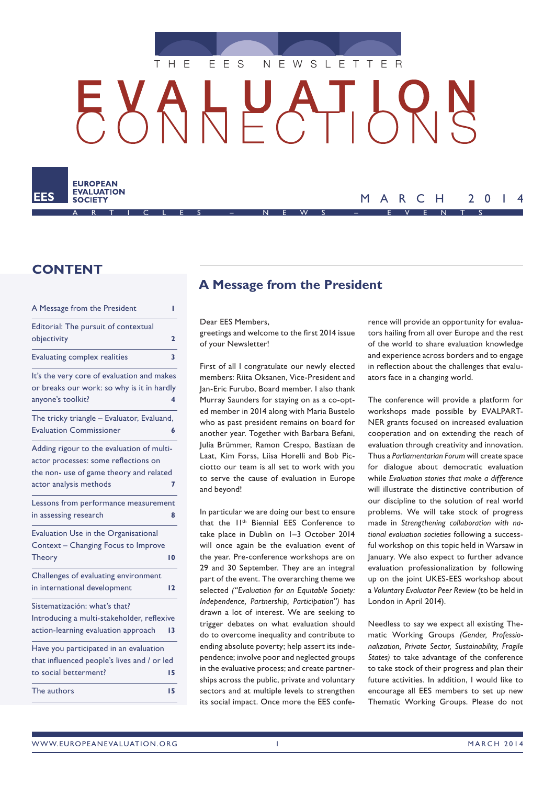

 $H_{\rm max}$ ┌┚╷┝╸



### MARCH 2014 ARTICLES – NEWS – EVENTS

## **CONTENT**

| A Message from the President                                                                                                                           | ı              |
|--------------------------------------------------------------------------------------------------------------------------------------------------------|----------------|
| Editorial: The pursuit of contextual<br>objectivity                                                                                                    | $\overline{2}$ |
| <b>Evaluating complex realities</b>                                                                                                                    | 3              |
| It's the very core of evaluation and makes<br>or breaks our work: so why is it in hardly<br>anyone's toolkit?                                          | 4              |
| The tricky triangle - Evaluator, Evaluand,<br><b>Evaluation Commissioner</b>                                                                           | 6              |
| Adding rigour to the evaluation of multi-<br>actor processes: some reflections on<br>the non- use of game theory and related<br>actor analysis methods | 7              |
| Lessons from performance measurement<br>in assessing research                                                                                          | 8              |
| Evaluation Use in the Organisational<br>Context - Changing Focus to Improve<br><b>Theory</b>                                                           | 10             |
| Challenges of evaluating environment<br>in international development                                                                                   | $\overline{2}$ |
| Sistematización: what's that?<br>Introducing a multi-stakeholder, reflexive<br>action-learning evaluation approach                                     | 13             |
| Have you participated in an evaluation<br>that influenced people's lives and / or led<br>to social betterment?                                         | 15             |
| The authors                                                                                                                                            | 15             |

# **A Message from the President**

Dear EES Members,

greetings and welcome to the first 2014 issue of your Newsletter!

First of all I congratulate our newly elected members: Riita Oksanen, Vice-President and Jan-Eric Furubo, Board member. I also thank Murray Saunders for staying on as a co-opted member in 2014 along with Maria Bustelo who as past president remains on board for another year. Together with Barbara Befani, Julia Brümmer, Ramon Crespo, Bastiaan de Laat, Kim Forss, Liisa Horelli and Bob Picciotto our team is all set to work with you to serve the cause of evaluation in Europe and beyond!

In particular we are doing our best to ensure that the II<sup>th</sup> Biennial EES Conference to take place in Dublin on 1–3 October 2014 will once again be the evaluation event of the year. Pre-conference workshops are on 29 and 30 September. They are an integral part of the event. The overarching theme we selected *("Evaluation for an Equitable Society: Independence, Partnership, Participation")* has drawn a lot of interest. We are seeking to trigger debates on what evaluation should do to overcome inequality and contribute to ending absolute poverty; help assert its independence; involve poor and neglected groups in the evaluative process; and create partnerships across the public, private and voluntary sectors and at multiple levels to strengthen its social impact. Once more the EES conference will provide an opportunity for evaluators hailing from all over Europe and the rest of the world to share evaluation knowledge and experience across borders and to engage in reflection about the challenges that evaluators face in a changing world.

The conference will provide a platform for workshops made possible by EVALPART-NER grants focused on increased evaluation cooperation and on extending the reach of evaluation through creativity and innovation. Thus a *Parliamentarian Forum* will create space for dialogue about democratic evaluation while *Evaluation stories that make a difference* will illustrate the distinctive contribution of our discipline to the solution of real world problems. We will take stock of progress made in *Strengthening collaboration with national evaluation societies* following a successful workshop on this topic held in Warsaw in January. We also expect to further advance evaluation professionalization by following up on the joint UKES-EES workshop about a *Voluntary Evaluator Peer Review* (to be held in London in April 2014).

Needless to say we expect all existing Thematic Working Groups *(Gender, Professionalization, Private Sector, Sustainability, Fragile States)* to take advantage of the conference to take stock of their progress and plan their future activities. In addition, I would like to encourage all EES members to set up new Thematic Working Groups. Please do not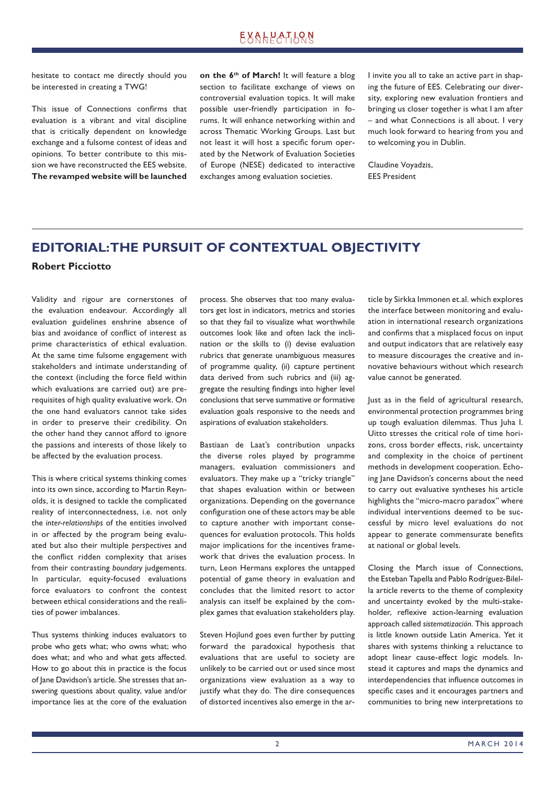## **EXALPATLONS**

hesitate to contact me directly should you be interested in creating a TWG!

This issue of Connections confirms that evaluation is a vibrant and vital discipline that is critically dependent on knowledge exchange and a fulsome contest of ideas and opinions. To better contribute to this mission we have reconstructed the EES website. **The revamped website will be launched**  **on the 6th of March!** It will feature a blog section to facilitate exchange of views on controversial evaluation topics. It will make possible user-friendly participation in forums. It will enhance networking within and across Thematic Working Groups. Last but not least it will host a specific forum operated by the Network of Evaluation Societies of Europe (NESE) dedicated to interactive exchanges among evaluation societies.

I invite you all to take an active part in shaping the future of EES. Celebrating our diversity, exploring new evaluation frontiers and bringing us closer together is what I am after – and what Connections is all about. I very much look forward to hearing from you and to welcoming you in Dublin.

Claudine Voyadzis, EES President

## **EDITORIAL: THE PURSUIT OF CONTEXTUAL OBJECTIVITY Robert Picciotto**

Validity and rigour are cornerstones of the evaluation endeavour. Accordingly all evaluation guidelines enshrine absence of bias and avoidance of conflict of interest as prime characteristics of ethical evaluation. At the same time fulsome engagement with stakeholders and intimate understanding of the context (including the force field within which evaluations are carried out) are prerequisites of high quality evaluative work. On the one hand evaluators cannot take sides in order to preserve their credibility. On the other hand they cannot afford to ignore the passions and interests of those likely to be affected by the evaluation process.

This is where critical systems thinking comes into its own since, according to Martin Reynolds, it is designed to tackle the complicated reality of interconnectedness, i.e. not only the *inter-relationships* of the entities involved in or affected by the program being evaluated but also their multiple *perspectives* and the conflict ridden complexity that arises from their contrasting *boundary* judgements. In particular, equity-focused evaluations force evaluators to confront the contest between ethical considerations and the realities of power imbalances.

Thus systems thinking induces evaluators to probe who gets what; who owns what; who does what; and who and what gets affected. How to go about this in practice is the focus of lane Davidson's article. She stresses that answering questions about quality, value and/or importance lies at the core of the evaluation process. She observes that too many evaluators get lost in indicators, metrics and stories so that they fail to visualize what worthwhile outcomes look like and often lack the inclination or the skills to (i) devise evaluation rubrics that generate unambiguous measures of programme quality, (ii) capture pertinent data derived from such rubrics and (iii) aggregate the resulting findings into higher level conclusions that serve summative or formative evaluation goals responsive to the needs and aspirations of evaluation stakeholders.

Bastiaan de Laat's contribution unpacks the diverse roles played by programme managers, evaluation commissioners and evaluators. They make up a "tricky triangle" that shapes evaluation within or between organizations. Depending on the governance configuration one of these actors may be able to capture another with important consequences for evaluation protocols. This holds major implications for the incentives framework that drives the evaluation process. In turn, Leon Hermans explores the untapped potential of game theory in evaluation and concludes that the limited resort to actor analysis can itself be explained by the complex games that evaluation stakeholders play.

Steven Hojlund goes even further by putting forward the paradoxical hypothesis that evaluations that are useful to society are unlikely to be carried out or used since most organizations view evaluation as a way to justify what they do. The dire consequences of distorted incentives also emerge in the article by Sirkka Immonen et.al. which explores the interface between monitoring and evaluation in international research organizations and confirms that a misplaced focus on input and output indicators that are relatively easy to measure discourages the creative and innovative behaviours without which research value cannot be generated.

Just as in the field of agricultural research, environmental protection programmes bring up tough evaluation dilemmas. Thus Juha I. Uitto stresses the critical role of time horizons, cross border effects, risk, uncertainty and complexity in the choice of pertinent methods in development cooperation. Echoing lane Davidson's concerns about the need to carry out evaluative syntheses his article highlights the "micro-macro paradox" where individual interventions deemed to be successful by micro level evaluations do not appear to generate commensurate benefits at national or global levels.

Closing the March issue of Connections, the Esteban Tapella and Pablo Rodríguez-Bilella article reverts to the theme of complexity and uncertainty evoked by the multi-stakeholder, reflexive action-learning evaluation approach called *sistematización*. This approach is little known outside Latin America. Yet it shares with systems thinking a reluctance to adopt linear cause-effect logic models. Instead it captures and maps the dynamics and interdependencies that influence outcomes in specific cases and it encourages partners and communities to bring new interpretations to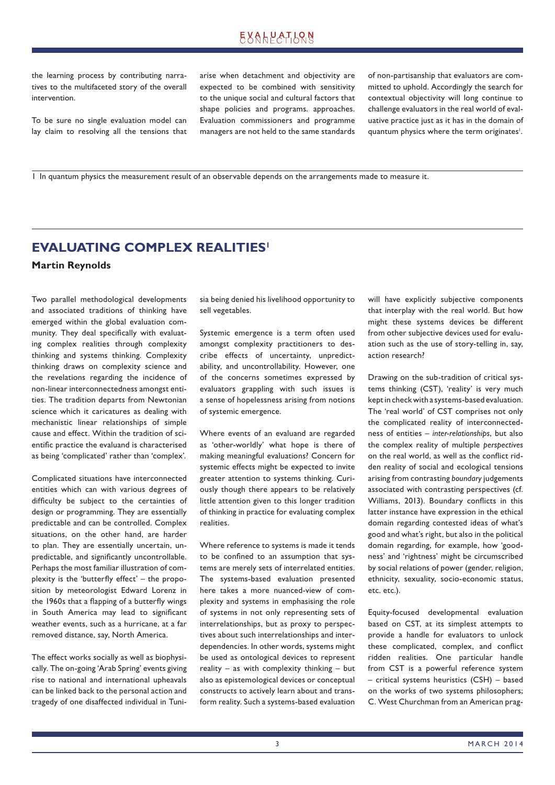# **EXALPATION**

the learning process by contributing narratives to the multifaceted story of the overall intervention.

To be sure no single evaluation model can lay claim to resolving all the tensions that arise when detachment and objectivity are expected to be combined with sensitivity to the unique social and cultural factors that shape policies and programs. approaches. Evaluation commissioners and programme managers are not held to the same standards

of non-partisanship that evaluators are committed to uphold. Accordingly the search for contextual objectivity will long continue to challenge evaluators in the real world of evaluative practice just as it has in the domain of quantum physics where the term originates<sup>1</sup>.

1 In quantum physics the measurement result of an observable depends on the arrangements made to measure it.

# **EVALUATING COMPLEX REALITIES<sup>1</sup> Martin Reynolds**

Two parallel methodological developments and associated traditions of thinking have emerged within the global evaluation community. They deal specifically with evaluating complex realities through complexity thinking and systems thinking. Complexity thinking draws on complexity science and the revelations regarding the incidence of non-linear interconnectedness amongst entities. The tradition departs from Newtonian science which it caricatures as dealing with mechanistic linear relationships of simple cause and effect. Within the tradition of scientific practice the evaluand is characterised as being 'complicated' rather than 'complex'.

Complicated situations have interconnected entities which can with various degrees of difficulty be subject to the certainties of design or programming. They are essentially predictable and can be controlled. Complex situations, on the other hand, are harder to plan. They are essentially uncertain, unpredictable, and significantly uncontrollable. Perhaps the most familiar illustration of complexity is the 'butterfly effect'  $-$  the proposition by meteorologist Edward Lorenz in the 1960s that a flapping of a butterfly wings in South America may lead to significant weather events, such as a hurricane, at a far removed distance, say, North America.

The effect works socially as well as biophysically. The on-going 'Arab Spring' events giving rise to national and international upheavals can be linked back to the personal action and tragedy of one disaffected individual in Tunisia being denied his livelihood opportunity to sell vegetables.

Systemic emergence is a term often used amongst complexity practitioners to describe effects of uncertainty, unpredictability, and uncontrollability. However, one of the concerns sometimes expressed by evaluators grappling with such issues is a sense of hopelessness arising from notions of systemic emergence.

Where events of an evaluand are regarded as 'other-worldly' what hope is there of making meaningful evaluations? Concern for systemic effects might be expected to invite greater attention to systems thinking. Curiously though there appears to be relatively little attention given to this longer tradition of thinking in practice for evaluating complex realities.

Where reference to systems is made it tends to be confined to an assumption that systems are merely sets of interrelated entities. The systems-based evaluation presented here takes a more nuanced-view of complexity and systems in emphasising the role of systems in not only representing sets of interrelationships, but as proxy to perspectives about such interrelationships and interdependencies. In other words, systems might be used as ontological devices to represent reality – as with complexity thinking – but also as epistemological devices or conceptual constructs to actively learn about and transform reality. Such a systems-based evaluation will have explicitly subjective components that interplay with the real world. But how might these systems devices be different from other subjective devices used for evaluation such as the use of story-telling in, say, action research?

Drawing on the sub-tradition of critical systems thinking (CST), 'reality' is very much kept in check with a systems-based evaluation. The 'real world' of CST comprises not only the complicated reality of interconnectedness of entities – *inter-relationships*, but also the complex reality of multiple *perspectives* on the real world, as well as the conflict ridden reality of social and ecological tensions arising from contrasting *boundary* judgements associated with contrasting perspectives (cf. Williams, 2013). Boundary conflicts in this latter instance have expression in the ethical domain regarding contested ideas of what's good and what's right, but also in the political domain regarding, for example, how 'goodness' and 'rightness' might be circumscribed by social relations of power (gender, religion, ethnicity, sexuality, socio-economic status, etc. etc.).

Equity-focused developmental evaluation based on CST, at its simplest attempts to provide a handle for evaluators to unlock these complicated, complex, and conflict ridden realities. One particular handle from CST is a powerful reference system – critical systems heuristics (CSH) – based on the works of two systems philosophers; C. West Churchman from an American prag-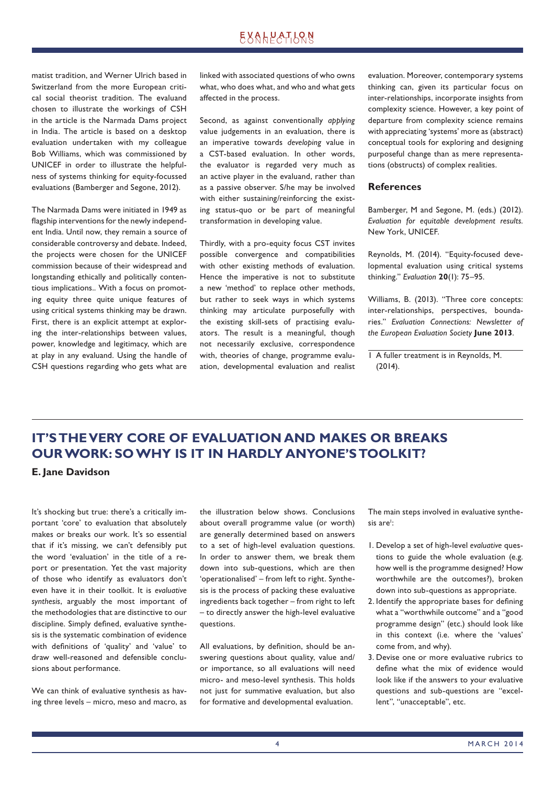matist tradition, and Werner Ulrich based in Switzerland from the more European critical social theorist tradition. The evaluand chosen to illustrate the workings of CSH in the article is the Narmada Dams project in India. The article is based on a desktop evaluation undertaken with my colleague Bob Williams, which was commissioned by UNICEF in order to illustrate the helpfulness of systems thinking for equity-focussed evaluations (Bamberger and Segone, 2012).

The Narmada Dams were initiated in 1949 as flagship interventions for the newly independent India. Until now, they remain a source of considerable controversy and debate. Indeed, the projects were chosen for the UNICEF commission because of their widespread and longstanding ethically and politically contentious implications.. With a focus on promoting equity three quite unique features of using critical systems thinking may be drawn. First, there is an explicit attempt at exploring the inter-relationships between values, power, knowledge and legitimacy, which are at play in any evaluand. Using the handle of CSH questions regarding who gets what are linked with associated questions of who owns what, who does what, and who and what gets affected in the process.

Second, as against conventionally *applying* value judgements in an evaluation, there is an imperative towards *developing* value in a CST-based evaluation. In other words, the evaluator is regarded very much as an active player in the evaluand, rather than as a passive observer. S/he may be involved with either sustaining/reinforcing the existing status-quo or be part of meaningful transformation in developing value.

Thirdly, with a pro-equity focus CST invites possible convergence and compatibilities with other existing methods of evaluation. Hence the imperative is not to substitute a new 'method' to replace other methods, but rather to seek ways in which systems thinking may articulate purposefully with the existing skill-sets of practising evaluators. The result is a meaningful, though not necessarily exclusive, correspondence with, theories of change, programme evaluation, developmental evaluation and realist evaluation. Moreover, contemporary systems thinking can, given its particular focus on inter-relationships, incorporate insights from complexity science. However, a key point of departure from complexity science remains with appreciating 'systems' more as (abstract) conceptual tools for exploring and designing purposeful change than as mere representations (obstructs) of complex realities.

### **References**

Bamberger, M and Segone, M. (eds.) (2012). *Evaluation for equitable development results.* New York, UNICEF.

Reynolds, M. (2014). "Equity-focused developmental evaluation using critical systems thinking." *Evaluation* **20**(1): 75–95.

Williams, B. (2013). "Three core concepts: inter-relationships, perspectives, boundaries." *Evaluation Connections: Newsletter of the European Evaluation Society* **June 2013**.

1 A fuller treatment is in Reynolds, M. (2014).

# **IT'S THE VERY CORE OF EVALUATION AND MAKES OR BREAKS OUR WORK: SO WHY IS IT IN HARDLY ANYONE'S TOOLKIT?**

**E. Jane Davidson**

It's shocking but true: there's a critically important 'core' to evaluation that absolutely makes or breaks our work. It's so essential that if it's missing, we can't defensibly put the word 'evaluation' in the title of a report or presentation. Yet the vast majority of those who identify as evaluators don't even have it in their toolkit. It is *evaluative synthesis*, arguably the most important of the methodologies that are distinctive to our discipline. Simply defined, evaluative synthesis is the systematic combination of evidence with definitions of 'quality' and 'value' to draw well-reasoned and defensible conclusions about performance.

We can think of evaluative synthesis as having three levels – micro, meso and macro, as the illustration below shows. Conclusions about overall programme value (or worth) are generally determined based on answers to a set of high-level evaluation questions. In order to answer them, we break them down into sub-questions, which are then 'operationalised' – from left to right. Synthesis is the process of packing these evaluative ingredients back together – from right to left – to directly answer the high-level evaluative questions.

All evaluations, by definition, should be answering questions about quality, value and/ or importance, so all evaluations will need micro- and meso-level synthesis. This holds not just for summative evaluation, but also for formative and developmental evaluation.

The main steps involved in evaluative synthesis are':

- 1. Develop a set of high-level *evaluative* questions to guide the whole evaluation (e.g. how well is the programme designed? How worthwhile are the outcomes?), broken down into sub-questions as appropriate.
- 2. Identify the appropriate bases for defining what a "worthwhile outcome" and a "good programme design" (etc.) should look like in this context (i.e. where the 'values' come from, and why).
- 3. Devise one or more evaluative rubrics to define what the mix of evidence would look like if the answers to your evaluative questions and sub-questions are "excellent", "unacceptable", etc.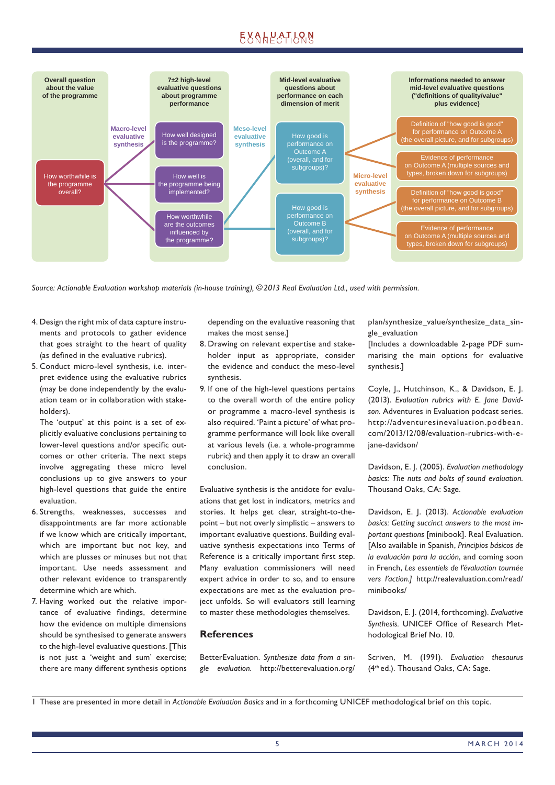

*Source: Actionable Evaluation workshop materials (in-house training), © 2013 Real Evaluation Ltd., used with permission.*

- 4. Design the right mix of data capture instruments and protocols to gather evidence that goes straight to the heart of quality (as defined in the evaluative rubrics).
- 5. Conduct micro-level synthesis, i.e. interpret evidence using the evaluative rubrics (may be done independently by the evaluation team or in collaboration with stakeholders).

 The 'output' at this point is a set of explicitly evaluative conclusions pertaining to lower-level questions and/or specific outcomes or other criteria. The next steps involve aggregating these micro level conclusions up to give answers to your high-level questions that guide the entire evaluation.

- 6. Strengths, weaknesses, successes and disappointments are far more actionable if we know which are critically important, which are important but not key, and which are plusses or minuses but not that important. Use needs assessment and other relevant evidence to transparently determine which are which.
- 7. Having worked out the relative importance of evaluative findings, determine how the evidence on multiple dimensions should be synthesised to generate answers to the high-level evaluative questions. [This is not just a 'weight and sum' exercise; there are many different synthesis options

depending on the evaluative reasoning that makes the most sense.]

- 8. Drawing on relevant expertise and stakeholder input as appropriate, consider the evidence and conduct the meso-level synthesis.
- 9. If one of the high-level questions pertains to the overall worth of the entire policy or programme a macro-level synthesis is also required. 'Paint a picture' of what programme performance will look like overall at various levels (i.e. a whole-programme rubric) and then apply it to draw an overall conclusion.

Evaluative synthesis is the antidote for evaluations that get lost in indicators, metrics and stories. It helps get clear, straight-to-thepoint – but not overly simplistic – answers to important evaluative questions. Building evaluative synthesis expectations into Terms of Reference is a critically important first step. Many evaluation commissioners will need expert advice in order to so, and to ensure expectations are met as the evaluation project unfolds. So will evaluators still learning to master these methodologies themselves.

### **References**

BetterEvaluation. *Synthesize data from a single evaluation.* http://betterevaluation.org/ plan/synthesize\_value/synthesize\_data\_single\_evaluation

[Includes a downloadable 2-page PDF summarising the main options for evaluative synthesis.]

Coyle, J., Hutchinson, K., & Davidson, E. J. (2013). *Evaluation rubrics with E. Jane Davidson.* Adventures in Evaluation podcast series. http://adventuresinevaluation.podbean. com/2013/12/08/evaluation-rubrics-with-ejane-davidson/

Davidson, E. J. (2005). *Evaluation methodology basics: The nuts and bolts of sound evaluation.* Thousand Oaks, CA: Sage.

Davidson, E. J. (2013). *Actionable evaluation basics: Getting succinct answers to the most important questions* [minibook]. Real Evaluation. [Also available in Spanish, *Principios básicos de la evaluación para la acción*, and coming soon in French, *Les essentiels de l'évaluation tournée vers l'action.]* http://realevaluation.com/read/ minibooks/

Davidson, E. J. (2014, forthcoming). *Evaluative*  Synthesis. UNICEF Office of Research Metho dological Brief No. 10.

Scriven, M. (1991). *Evaluation thesaurus*  (4th ed.). Thousand Oaks, CA: Sage.

<sup>1</sup> These are presented in more detail in *Actionable Evaluation Basics* and in a forthcoming UNICEF methodological brief on this topic.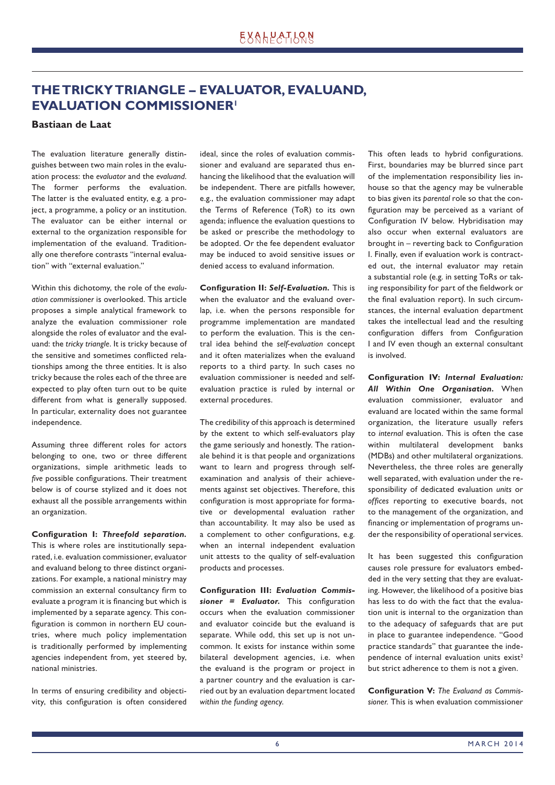# **THE TRICKY TRIANGLE – EVALUATOR, EVALUAND, EVALUATION COMMISSIONER1**

### **Bastiaan de Laat**

The evaluation literature generally distinguishes between two main roles in the evaluation process: the *evaluator* and the *evaluand*. The former performs the evaluation. The latter is the evaluated entity, e.g. a project, a programme, a policy or an institution. The evaluator can be either internal or external to the organization responsible for implementation of the evaluand. Traditionally one therefore contrasts "internal evaluation" with "external evaluation."

Within this dichotomy, the role of the *evaluation commissioner* is overlooked. This article proposes a simple analytical framework to analyze the evaluation commissioner role alongside the roles of evaluator and the evaluand: the *tricky triangle*. It is tricky because of the sensitive and sometimes conflicted relationships among the three entities. It is also tricky because the roles each of the three are expected to play often turn out to be quite different from what is generally supposed. In particular, externality does not guarantee independence.

Assuming three different roles for actors belonging to one, two or three different organizations, simple arithmetic leads to *five* possible configurations. Their treatment below is of course stylized and it does not exhaust all the possible arrangements within an organization.

Configuration I: Threefold separation. This is where roles are institutionally separated, i.e. evaluation commissioner, evaluator and evaluand belong to three distinct organizations. For example, a national ministry may commission an external consultancy firm to evaluate a program it is financing but which is implemented by a separate agency. This configuration is common in northern EU countries, where much policy implementation is traditionally performed by implementing agencies independent from, yet steered by, national ministries.

In terms of ensuring credibility and objectivity, this configuration is often considered ideal, since the roles of evaluation commissioner and evaluand are separated thus enhancing the likelihood that the evaluation will be independent. There are pitfalls however, e.g., the evaluation commissioner may adapt the Terms of Reference (ToR) to its own agenda; influence the evaluation questions to be asked or prescribe the methodology to be adopted. Or the fee dependent evaluator may be induced to avoid sensitive issues or denied access to evaluand information.

**Configuration II: Self-Evaluation.** This is when the evaluator and the evaluand overlap, i.e. when the persons responsible for programme implementation are mandated to perform the evaluation. This is the central idea behind the *self-evaluation* concept and it often materializes when the evaluand reports to a third party. In such cases no evaluation commissioner is needed and selfevaluation practice is ruled by internal or external procedures.

The credibility of this approach is determined by the extent to which self-evaluators play the game seriously and honestly. The rationale behind it is that people and organizations want to learn and progress through selfexamination and analysis of their achievements against set objectives. Therefore, this configuration is most appropriate for formative or developmental evaluation rather than accountability. It may also be used as a complement to other configurations, e.g. when an internal independent evaluation unit attests to the quality of self-evaluation products and processes.

**Configuration III: Evaluation Commis**sioner = Evaluator. This configuration occurs when the evaluation commissioner and evaluator coincide but the evaluand is separate. While odd, this set up is not uncommon. It exists for instance within some bilateral development agencies, i.e. when the evaluand is the program or project in a partner country and the evaluation is carried out by an evaluation department located *within the funding agency*.

This often leads to hybrid configurations. First, boundaries may be blurred since part of the implementation responsibility lies inhouse so that the agency may be vulnerable to bias given its *parental* role so that the configuration may be perceived as a variant of Configuration IV below. Hybridisation may also occur when external evaluators are brought in – reverting back to Configuration I. Finally, even if evaluation work is contracted out, the internal evaluator may retain a substantial role (e.g. in setting ToRs or taking responsibility for part of the fieldwork or the final evaluation report). In such circumstances, the internal evaluation department takes the intellectual lead and the resulting configuration differs from Configuration I and IV even though an external consultant is involved.

**Configuration IV: Internal Evaluation:** *All Within One Organisation.* When evaluation commissioner, evaluator and evaluand are located within the same formal organization, the literature usually refers to *internal* evaluation. This is often the case within multilateral development banks (MDBs) and other multilateral organizations. Nevertheless, the three roles are generally well separated, with evaluation under the responsibility of dedicated evaluation *units* or *offi ces* reporting to executive boards, not to the management of the organization, and financing or implementation of programs under the responsibility of operational services.

It has been suggested this configuration causes role pressure for evaluators embedded in the very setting that they are evaluating. However, the likelihood of a positive bias has less to do with the fact that the evaluation unit is internal to the organization than to the adequacy of safeguards that are put in place to guarantee independence. "Good practice standards" that guarantee the independence of internal evaluation units exist<sup>2</sup> but strict adherence to them is not a given.

**Configuration V:** The Evaluand as Commis*sioner.* This is when evaluation commissioner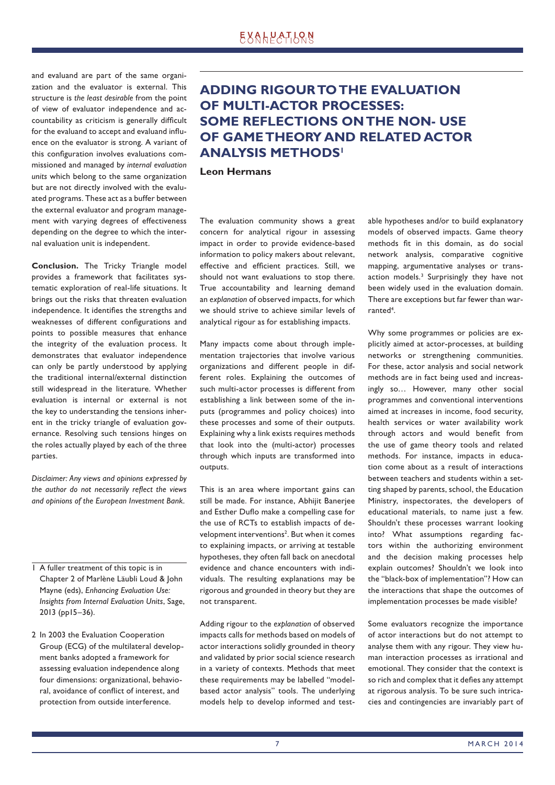and evaluand are part of the same organization and the evaluator is external. This structure is *the least desirable* from the point of view of evaluator independence and accountability as criticism is generally difficult for the evaluand to accept and evaluand influence on the evaluator is strong. A variant of this configuration involves evaluations commissioned and managed by *internal evaluation units* which belong to the same organization but are not directly involved with the evaluated programs. These act as a buffer between the external evaluator and program management with varying degrees of effectiveness depending on the degree to which the internal evaluation unit is independent.

**Conclusion.** The Tricky Triangle model provides a framework that facilitates systematic exploration of real-life situations. It brings out the risks that threaten evaluation independence. It identifies the strengths and weaknesses of different configurations and points to possible measures that enhance the integrity of the evaluation process. It demonstrates that evaluator independence can only be partly understood by applying the traditional internal/external distinction still widespread in the literature. Whether evaluation is internal or external is not the key to understanding the tensions inherent in the tricky triangle of evaluation governance. Resolving such tensions hinges on the roles actually played by each of the three parties.

*Disclaimer: Any views and opinions expressed by*  the author do not necessarily reflect the views *and opinions of the European Investment Bank.*

- 1 A fuller treatment of this topic is in Chapter 2 of Marlène Läubli Loud & John Mayne (eds), *Enhancing Evaluation Use: Insights from Internal Evaluation Units*, Sage, 2013 (pp15–36).
- 2 In 2003 the Evaluation Cooperation Group (ECG) of the multilateral development banks adopted a framework for assessing evaluation independence along four dimensions: organizational, behavioral, avoidance of conflict of interest, and protection from outside interference.

# **ADDING RIGOUR TO THE EVALUATION OF MULTI-ACTOR PROCESSES: SOME REFLECTIONS ON THE NON- USE OF GAME THEORY AND RELATED ACTOR ANALYSIS METHODS1**

### **Leon Hermans**

The evaluation community shows a great concern for analytical rigour in assessing impact in order to provide evidence-based information to policy makers about relevant, effective and efficient practices. Still, we should not want evaluations to stop there. True accountability and learning demand an *explanation* of observed impacts, for which we should strive to achieve similar levels of analytical rigour as for establishing impacts.

Many impacts come about through implementation trajectories that involve various organizations and different people in different roles. Explaining the outcomes of such multi-actor processes is different from establishing a link between some of the inputs (programmes and policy choices) into these processes and some of their outputs. Explaining why a link exists requires methods that look into the (multi-actor) processes through which inputs are transformed into outputs.

This is an area where important gains can still be made. For instance, Abhijit Banerjee and Esther Duflo make a compelling case for the use of RCTs to establish impacts of development interventions<sup>2</sup>. But when it comes to explaining impacts, or arriving at testable hypotheses, they often fall back on anecdotal evidence and chance encounters with individuals. The resulting explanations may be rigorous and grounded in theory but they are not transparent.

Adding rigour to the *explanation* of observed impacts calls for methods based on models of actor interactions solidly grounded in theory and validated by prior social science research in a variety of contexts. Methods that meet these requirements may be labelled "modelbased actor analysis" tools. The underlying models help to develop informed and testable hypotheses and/or to build explanatory models of observed impacts. Game theory methods fit in this domain, as do social network analysis, comparative cognitive mapping, argumentative analyses or transaction models.<sup>3</sup> Surprisingly they have not been widely used in the evaluation domain. There are exceptions but far fewer than warranted<sup>4</sup>.

Why some programmes or policies are explicitly aimed at actor-processes, at building networks or strengthening communities. For these, actor analysis and social network methods are in fact being used and increasingly so… However, many other social programmes and conventional interventions aimed at increases in income, food security, health services or water availability work through actors and would benefit from the use of game theory tools and related methods. For instance, impacts in education come about as a result of interactions between teachers and students within a setting shaped by parents, school, the Education Ministry, inspectorates, the developers of educational materials, to name just a few. Shouldn't these processes warrant looking into? What assumptions regarding factors within the authorizing environment and the decision making processes help explain outcomes? Shouldn't we look into the "black-box of implementation"? How can the interactions that shape the outcomes of implementation processes be made visible?

Some evaluators recognize the importance of actor interactions but do not attempt to analyse them with any rigour. They view human interaction processes as irrational and emotional. They consider that the context is so rich and complex that it defies any attempt at rigorous analysis. To be sure such intricacies and contingencies are invariably part of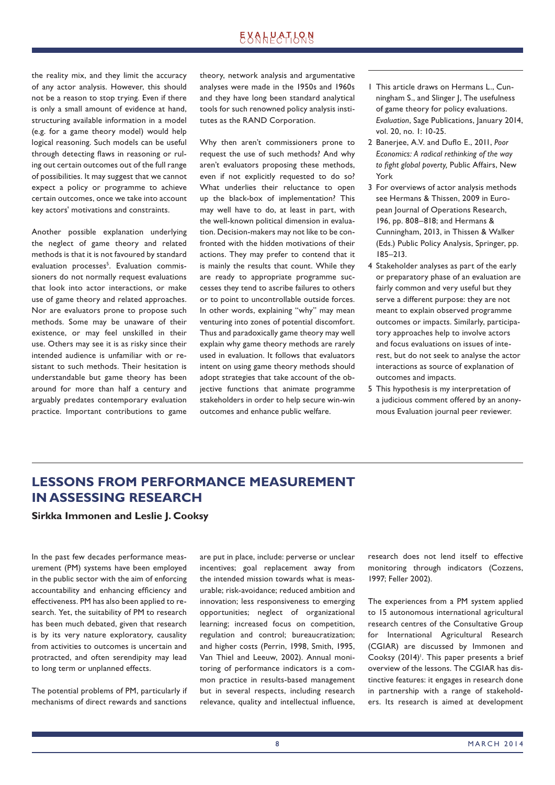the reality mix, and they limit the accuracy of any actor analysis. However, this should not be a reason to stop trying. Even if there is only a small amount of evidence at hand, structuring available information in a model (e.g. for a game theory model) would help logical reasoning. Such models can be useful through detecting flaws in reasoning or ruling out certain outcomes out of the full range of possibilities. It may suggest that we cannot expect a policy or programme to achieve certain outcomes, once we take into account key actors' motivations and constraints.

Another possible explanation underlying the neglect of game theory and related methods is that it is not favoured by standard evaluation processes<sup>5</sup>. Evaluation commissioners do not normally request evaluations that look into actor interactions, or make use of game theory and related approaches. Nor are evaluators prone to propose such methods. Some may be unaware of their existence, or may feel unskilled in their use. Others may see it is as risky since their intended audience is unfamiliar with or resistant to such methods. Their hesitation is understandable but game theory has been around for more than half a century and arguably predates contemporary evaluation practice. Important contributions to game

theory, network analysis and argumentative analyses were made in the 1950s and 1960s and they have long been standard analytical tools for such renowned policy analysis institutes as the RAND Corporation.

Why then aren't commissioners prone to request the use of such methods? And why aren't evaluators proposing these methods, even if not explicitly requested to do so? What underlies their reluctance to open up the black-box of implementation? This may well have to do, at least in part, with the well-known political dimension in evaluation. Decision-makers may not like to be confronted with the hidden motivations of their actions. They may prefer to contend that it is mainly the results that count. While they are ready to appropriate programme successes they tend to ascribe failures to others or to point to uncontrollable outside forces. In other words, explaining "why" may mean venturing into zones of potential discomfort. Thus and paradoxically game theory may well explain why game theory methods are rarely used in evaluation. It follows that evaluators intent on using game theory methods should adopt strategies that take account of the objective functions that animate programme stakeholders in order to help secure win-win outcomes and enhance public welfare.

- 1 This article draws on Hermans L., Cunningham S., and Slinger J, The usefulness of game theory for policy evaluations. *Evaluation*, Sage Publications, January 2014, vol. 20, no. 1: 10-25.
- 2 Banerjee, A.V. and Duflo E., 2011, *Poor Economics: A radical rethinking of the way*  to fight global poverty, Public Affairs, New York
- 3 For overviews of actor analysis methods see Hermans & Thissen, 2009 in European Journal of Operations Research, 196, pp. 808–818; and Hermans & Cunningham, 2013, in Thissen & Walker (Eds.) Public Policy Analysis, Springer, pp. 185–213.
- 4 Stakeholder analyses as part of the early or preparatory phase of an evaluation are fairly common and very useful but they serve a different purpose: they are not meant to explain observed programme outcomes or impacts. Similarly, participatory approaches help to involve actors and focus evaluations on issues of interest, but do not seek to analyse the actor interactions as source of explanation of outcomes and impacts.
- 5 This hypothesis is my interpretation of a judicious comment offered by an anonymous Evaluation journal peer reviewer.

## **LESSONS FROM PERFORMANCE MEASUREMENT IN ASSESSING RESEARCH**

**Sirkka Immonen and Leslie J. Cooksy**

In the past few decades performance measurement (PM) systems have been employed in the public sector with the aim of enforcing accountability and enhancing efficiency and effectiveness. PM has also been applied to research. Yet, the suitability of PM to research has been much debated, given that research is by its very nature exploratory, causality from activities to outcomes is uncertain and protracted, and often serendipity may lead to long term or unplanned effects.

The potential problems of PM, particularly if mechanisms of direct rewards and sanctions are put in place, include: perverse or unclear incentives; goal replacement away from the intended mission towards what is measurable; risk-avoidance; reduced ambition and innovation; less responsiveness to emerging opportunities; neglect of organizational learning; increased focus on competition, regulation and control; bureaucratization; and higher costs (Perrin, 1998, Smith, 1995, Van Thiel and Leeuw, 2002). Annual monitoring of performance indicators is a common practice in results-based management but in several respects, including research relevance, quality and intellectual influence,

research does not lend itself to effective monitoring through indicators (Cozzens, 1997; Feller 2002).

The experiences from a PM system applied to 15 autonomous international agricultural research centres of the Consultative Group for International Agricultural Research (CGIAR) are discussed by Immonen and Cooksy (2014)<sup>1</sup>. This paper presents a brief overview of the lessons. The CGIAR has distinctive features: it engages in research done in partnership with a range of stakeholders. Its research is aimed at development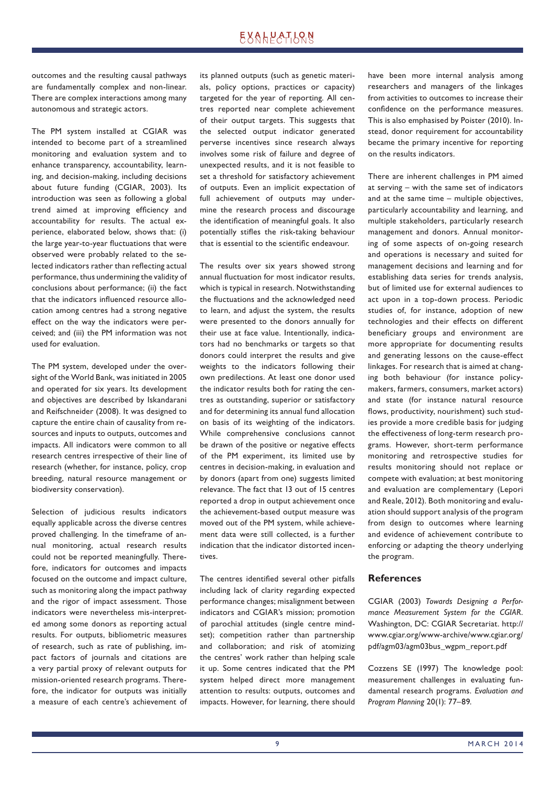outcomes and the resulting causal pathways are fundamentally complex and non-linear. There are complex interactions among many autonomous and strategic actors.

The PM system installed at CGIAR was intended to become part of a streamlined monitoring and evaluation system and to enhance transparency, accountability, learning, and decision-making, including decisions about future funding (CGIAR, 2003). Its introduction was seen as following a global trend aimed at improving efficiency and accountability for results. The actual experience, elaborated below, shows that: (i) the large year-to-year fluctuations that were observed were probably related to the selected indicators rather than reflecting actual performance, thus undermining the validity of conclusions about performance; (ii) the fact that the indicators influenced resource allocation among centres had a strong negative effect on the way the indicators were perceived; and (iii) the PM information was not used for evaluation.

The PM system, developed under the oversight of the World Bank, was initiated in 2005 and operated for six years. Its development and objectives are described by Iskandarani and Reifschneider (2008). It was designed to capture the entire chain of causality from resources and inputs to outputs, outcomes and impacts. All indicators were common to all research centres irrespective of their line of research (whether, for instance, policy, crop breeding, natural resource management or biodiversity conservation).

Selection of judicious results indicators equally applicable across the diverse centres proved challenging. In the timeframe of annual monitoring, actual research results could not be reported meaningfully. Therefore, indicators for outcomes and impacts focused on the outcome and impact culture, such as monitoring along the impact pathway and the rigor of impact assessment. Those indicators were nevertheless mis-interpreted among some donors as reporting actual results. For outputs, bibliometric measures of research, such as rate of publishing, impact factors of journals and citations are a very partial proxy of relevant outputs for mission-oriented research programs. Therefore, the indicator for outputs was initially a measure of each centre's achievement of its planned outputs (such as genetic materials, policy options, practices or capacity) targeted for the year of reporting. All centres reported near complete achievement of their output targets. This suggests that the selected output indicator generated perverse incentives since research always involves some risk of failure and degree of unexpected results, and it is not feasible to set a threshold for satisfactory achievement of outputs. Even an implicit expectation of full achievement of outputs may undermine the research process and discourage the identification of meaningful goals. It also potentially stifles the risk-taking behaviour that is essential to the scientific endeavour.

The results over six years showed strong annual fluctuation for most indicator results, which is typical in research. Notwithstanding the fluctuations and the acknowledged need to learn, and adjust the system, the results were presented to the donors annually for their use at face value. Intentionally, indicators had no benchmarks or targets so that donors could interpret the results and give weights to the indicators following their own predilections. At least one donor used the indicator results both for rating the centres as outstanding, superior or satisfactory and for determining its annual fund allocation on basis of its weighting of the indicators. While comprehensive conclusions cannot be drawn of the positive or negative effects of the PM experiment, its limited use by centres in decision-making, in evaluation and by donors (apart from one) suggests limited relevance. The fact that 13 out of 15 centres reported a drop in output achievement once the achievement-based output measure was moved out of the PM system, while achievement data were still collected, is a further indication that the indicator distorted incentives.

The centres identified several other pitfalls including lack of clarity regarding expected performance changes; misalignment between indicators and CGIAR's mission; promotion of parochial attitudes (single centre mindset); competition rather than partnership and collaboration; and risk of atomizing the centres' work rather than helping scale it up. Some centres indicated that the PM system helped direct more management attention to results: outputs, outcomes and impacts. However, for learning, there should

have been more internal analysis among researchers and managers of the linkages from activities to outcomes to increase their confidence on the performance measures. This is also emphasised by Poister (2010). Instead, donor requirement for accountability became the primary incentive for reporting on the results indicators.

There are inherent challenges in PM aimed at serving – with the same set of indicators and at the same time – multiple objectives, particularly accountability and learning, and multiple stakeholders, particularly research management and donors. Annual monitoring of some aspects of on-going research and operations is necessary and suited for management decisions and learning and for establishing data series for trends analysis, but of limited use for external audiences to act upon in a top-down process. Periodic studies of, for instance, adoption of new technologies and their effects on different beneficiary groups and environment are more appropriate for documenting results and generating lessons on the cause-effect linkages. For research that is aimed at changing both behaviour (for instance policymakers, farmers, consumers, market actors) and state (for instance natural resource flows, productivity, nourishment) such studies provide a more credible basis for judging the effectiveness of long-term research programs. However, short-term performance monitoring and retrospective studies for results monitoring should not replace or compete with evaluation; at best monitoring and evaluation are complementary (Lepori and Reale, 2012). Both monitoring and evaluation should support analysis of the program from design to outcomes where learning and evidence of achievement contribute to enforcing or adapting the theory underlying the program.

### **References**

CGIAR (2003) *Towards Designing a Performance Measurement System for the CGIAR*. Washington, DC: CGIAR Secretariat. http:// www.cgiar.org/www-archive/www.cgiar.org/ pdf/agm03/agm03bus\_wgpm\_report.pdf

Cozzens SE (1997) The knowledge pool: measurement challenges in evaluating fundamental research programs. *Evaluation and Program Planning* 20(1): 77–89.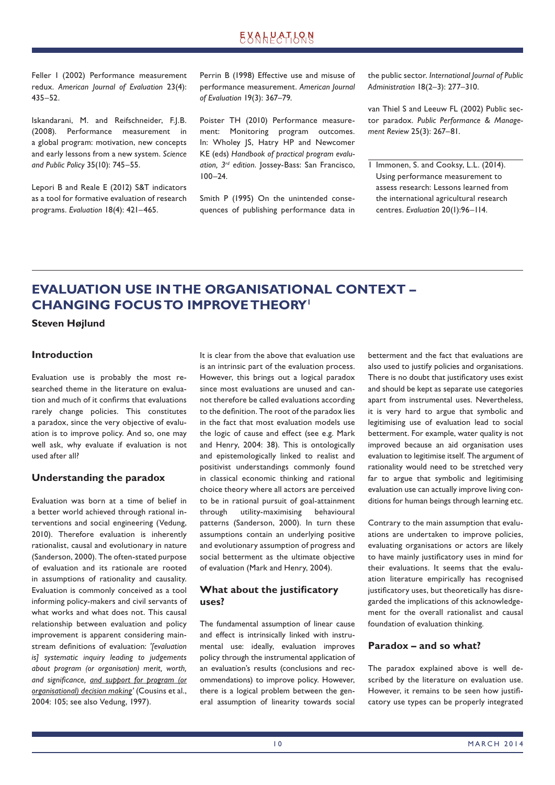Feller I (2002) Performance measurement redux. *American Journal of Evaluation* 23(4): 435–52.

Iskandarani, M. and Reifschneider, F.J.B. (2008). Performance measurement in a global program: motivation, new concepts and early lessons from a new system. *Science and Public Policy* 35(10): 745–55.

Lepori B and Reale E (2012) S&T indicators as a tool for formative evaluation of research programs. *Evaluation* 18(4): 421–465.

Perrin B (1998) Effective use and misuse of performance measurement. *American Journal of Evaluation* 19(3): 367–79.

Poister TH (2010) Performance measurement: Monitoring program outcomes. In: Wholey JS, Hatry HP and Newcomer KE (eds) *Handbook of practical program evaluation, 3rd edition*. Jossey-Bass: San Francisco, 100–24.

Smith P (1995) On the unintended consequences of publishing performance data in the public sector. *International Journal of Public Administration* 18(2–3): 277–310.

van Thiel S and Leeuw FL (2002) Public sector paradox. *Public Performance & Management Review* 25(3): 267–81.

1 Immonen, S. and Cooksy, L.L. (2014). Using performance measurement to assess research: Lessons learned from the international agricultural research centres. *Evaluation* 20(1):96–114.

# **EVALUATION USE IN THE ORGANISATIONAL CONTEXT – CHANGING FOCUS TO IMPROVE THEORY1**

**Steven Højlund**

### **Introduction**

Evaluation use is probably the most researched theme in the literature on evaluation and much of it confirms that evaluations rarely change policies. This constitutes a paradox, since the very objective of evaluation is to improve policy. And so, one may well ask, why evaluate if evaluation is not used after all?

### **Understanding the paradox**

Evaluation was born at a time of belief in a better world achieved through rational interventions and social engineering (Vedung, 2010). Therefore evaluation is inherently rationalist, causal and evolutionary in nature (Sanderson, 2000). The often-stated purpose of evaluation and its rationale are rooted in assumptions of rationality and causality. Evaluation is commonly conceived as a tool informing policy-makers and civil servants of what works and what does not. This causal relationship between evaluation and policy improvement is apparent considering mainstream definitions of evaluation: '[evaluation *is] systematic inquiry leading to judgements about program (or organisation) merit, worth,*  and significance, and support for program (or *organisational) decision making'* (Cousins et al., 2004: 105; see also Vedung, 1997).

It is clear from the above that evaluation use is an intrinsic part of the evaluation process. However, this brings out a logical paradox since most evaluations are unused and cannot therefore be called evaluations according to the definition. The root of the paradox lies in the fact that most evaluation models use the logic of cause and effect (see e.g. Mark and Henry, 2004: 38). This is ontologically and epistemologically linked to realist and positivist understandings commonly found in classical economic thinking and rational choice theory where all actors are perceived to be in rational pursuit of goal-attainment through utility-maximising behavioural patterns (Sanderson, 2000). In turn these assumptions contain an underlying positive and evolutionary assumption of progress and social betterment as the ultimate objective of evaluation (Mark and Henry, 2004).

### **What about the justificatory uses?**

The fundamental assumption of linear cause and effect is intrinsically linked with instrumental use: ideally, evaluation improves policy through the instrumental application of an evaluation's results (conclusions and recommendations) to improve policy. However, there is a logical problem between the general assumption of linearity towards social betterment and the fact that evaluations are also used to justify policies and organisations. There is no doubt that justificatory uses exist and should be kept as separate use categories apart from instrumental uses. Nevertheless, it is very hard to argue that symbolic and legitimising use of evaluation lead to social betterment. For example, water quality is not improved because an aid organisation uses evaluation to legitimise itself. The argument of rationality would need to be stretched very far to argue that symbolic and legitimising evaluation use can actually improve living conditions for human beings through learning etc.

Contrary to the main assumption that evaluations are undertaken to improve policies, evaluating organisations or actors are likely to have mainly justificatory uses in mind for their evaluations. It seems that the evaluation literature empirically has recognised justificatory uses, but theoretically has disregarded the implications of this acknowledgement for the overall rationalist and causal foundation of evaluation thinking.

### **Paradox – and so what?**

The paradox explained above is well described by the literature on evaluation use. However, it remains to be seen how justificatory use types can be properly integrated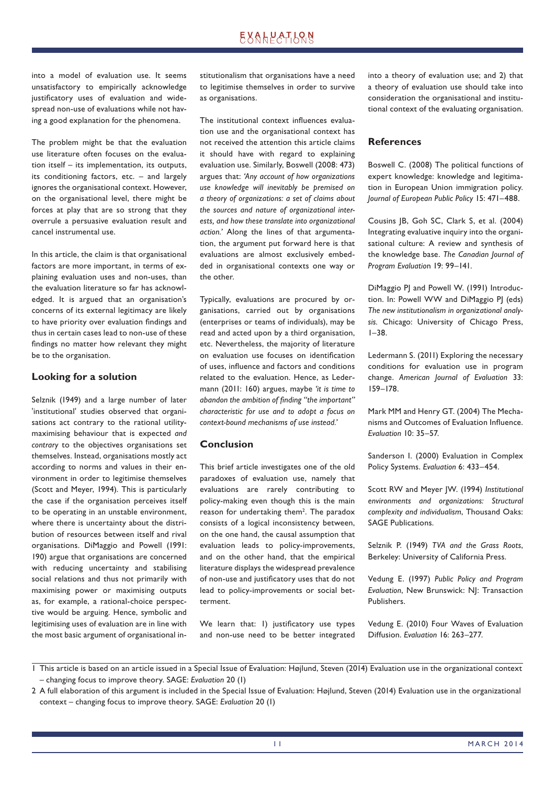into a model of evaluation use. It seems unsatisfactory to empirically acknowledge justificatory uses of evaluation and widespread non-use of evaluations while not having a good explanation for the phenomena.

The problem might be that the evaluation use literature often focuses on the evaluation itself – its implementation, its outputs, its conditioning factors, etc. – and largely ignores the organisational context. However, on the organisational level, there might be forces at play that are so strong that they overrule a persuasive evaluation result and cancel instrumental use.

In this article, the claim is that organisational factors are more important, in terms of explaining evaluation uses and non-uses, than the evaluation literature so far has acknowledged. It is argued that an organisation's concerns of its external legitimacy are likely to have priority over evaluation findings and thus in certain cases lead to non-use of these findings no matter how relevant they might be to the organisation.

### **Looking for a solution**

Selznik (1949) and a large number of later 'institutional' studies observed that organisations act contrary to the rational utilitymaximising behaviour that is expected *and contrary* to the objectives organisations set themselves. Instead, organisations mostly act according to norms and values in their environment in order to legitimise themselves (Scott and Meyer, 1994). This is particularly the case if the organisation perceives itself to be operating in an unstable environment, where there is uncertainty about the distribution of resources between itself and rival organisations. DiMaggio and Powell (1991: 190) argue that organisations are concerned with reducing uncertainty and stabilising social relations and thus not primarily with maximising power or maximising outputs as, for example, a rational-choice perspective would be arguing. Hence, symbolic and legitimising uses of evaluation are in line with the most basic argument of organisational institutionalism that organisations have a need to legitimise themselves in order to survive as organisations.

The institutional context influences evaluation use and the organisational context has not received the attention this article claims it should have with regard to explaining evaluation use. Similarly, Boswell (2008: 473) argues that: *'Any account of how organizations use knowledge will inevitably be premised on a theory of organizations: a set of claims about the sources and nature of organizational interests, and how these translate into organizational action.'* Along the lines of that argumentation, the argument put forward here is that evaluations are almost exclusively embedded in organisational contexts one way or the other.

Typically, evaluations are procured by organisations, carried out by organisations (enterprises or teams of individuals), may be read and acted upon by a third organisation, etc. Nevertheless, the majority of literature on evaluation use focuses on identification of uses, influence and factors and conditions related to the evaluation. Hence, as Ledermann (2011: 160) argues, maybe *'it is time to*  abandon the ambition of finding "the important" *characteristic for use and to adopt a focus on context-bound mechanisms of use instead.'*

### **Conclusion**

This brief article investigates one of the old paradoxes of evaluation use, namely that evaluations are rarely contributing to policy-making even though this is the main reason for undertaking them<sup>2</sup>. The paradox consists of a logical inconsistency between, on the one hand, the causal assumption that evaluation leads to policy-improvements, and on the other hand, that the empirical literature displays the widespread prevalence of non-use and justificatory uses that do not lead to policy-improvements or social betterment.

We learn that: I) justificatory use types and non-use need to be better integrated into a theory of evaluation use; and 2) that a theory of evaluation use should take into consideration the organisational and institutional context of the evaluating organisation.

### **References**

Boswell C. (2008) The political functions of expert knowledge: knowledge and legitimation in European Union immigration policy. *Journal of European Public Policy* 15: 471–488.

Cousins JB, Goh SC, Clark S, et al. (2004) Integrating evaluative inquiry into the organisational culture: A review and synthesis of the knowledge base. *The Canadian Journal of Program Evaluatio*n 19: 99–141.

DiMaggio PJ and Powell W. (1991) Introduction. In: Powell WW and DiMaggio PJ (eds) *The new institutionalism in organizational analysis.* Chicago: University of Chicago Press, 1–38.

Ledermann S. (2011) Exploring the necessary conditions for evaluation use in program change. *American Journal of Evaluation* 33: 159–178.

Mark MM and Henry GT. (2004) The Mechanisms and Outcomes of Evaluation Influence. *Evaluation* 10: 35–57.

Sanderson I. (2000) Evaluation in Complex Policy Systems. *Evaluation* 6: 433–454.

Scott RW and Meyer JW. (1994) *Institutional environments and organizations: Structural complexity and individualism*, Thousand Oaks: SAGE Publications.

Selznik P. (1949) *TVA and the Grass Roots*, Berkeley: University of California Press.

Vedung E. (1997) *Public Policy and Program Evaluation*, New Brunswick: NJ: Transaction Publishers.

Vedung E. (2010) Four Waves of Evaluation Diffusion. *Evaluation* 16: 263–277.

<sup>1</sup> This article is based on an article issued in a Special Issue of Evaluation: Højlund, Steven (2014) Evaluation use in the organizational context – changing focus to improve theory. SAGE: *Evaluation* 20 (1)

<sup>2</sup> A full elaboration of this argument is included in the Special Issue of Evaluation: Højlund, Steven (2014) Evaluation use in the organizational context – changing focus to improve theory. SAGE: *Evaluation* 20 (1)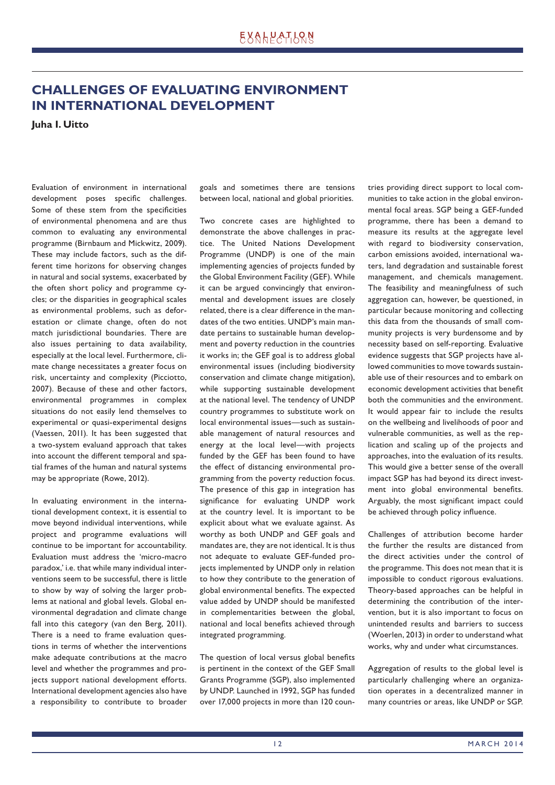# **CHALLENGES OF EVALUATING ENVIRONMENT IN INTERNATIONAL DEVELOPMENT**

**Juha I. Uitto** 

Evaluation of environment in international development poses specific challenges. Some of these stem from the specificities of environmental phenomena and are thus common to evaluating any environmental programme (Birnbaum and Mickwitz, 2009). These may include factors, such as the different time horizons for observing changes in natural and social systems, exacerbated by the often short policy and programme cycles; or the disparities in geographical scales as environmental problems, such as deforestation or climate change, often do not match jurisdictional boundaries. There are also issues pertaining to data availability, especially at the local level. Furthermore, climate change necessitates a greater focus on risk, uncertainty and complexity (Picciotto, 2007). Because of these and other factors, environmental programmes in complex situations do not easily lend themselves to experimental or quasi-experimental designs (Vaessen, 2011). It has been suggested that a two-system evaluand approach that takes into account the different temporal and spatial frames of the human and natural systems may be appropriate (Rowe, 2012).

In evaluating environment in the international development context, it is essential to move beyond individual interventions, while project and programme evaluations will continue to be important for accountability. Evaluation must address the 'micro-macro paradox,' i.e. that while many individual interventions seem to be successful, there is little to show by way of solving the larger problems at national and global levels. Global environmental degradation and climate change fall into this category (van den Berg, 2011). There is a need to frame evaluation questions in terms of whether the interventions make adequate contributions at the macro level and whether the programmes and projects support national development efforts. International development agencies also have a responsibility to contribute to broader goals and sometimes there are tensions between local, national and global priorities.

Two concrete cases are highlighted to demonstrate the above challenges in practice. The United Nations Development Programme (UNDP) is one of the main implementing agencies of projects funded by the Global Environment Facility (GEF). While it can be argued convincingly that environmental and development issues are closely related, there is a clear difference in the mandates of the two entities. UNDP's main mandate pertains to sustainable human development and poverty reduction in the countries it works in; the GEF goal is to address global environmental issues (including biodiversity conservation and climate change mitigation), while supporting sustainable development at the national level. The tendency of UNDP country programmes to substitute work on local environmental issues—such as sustainable management of natural resources and energy at the local level—with projects funded by the GEF has been found to have the effect of distancing environmental programming from the poverty reduction focus. The presence of this gap in integration has significance for evaluating UNDP work at the country level. It is important to be explicit about what we evaluate against. As worthy as both UNDP and GEF goals and mandates are, they are not identical. It is thus not adequate to evaluate GEF-funded projects implemented by UNDP only in relation to how they contribute to the generation of global environmental benefits. The expected value added by UNDP should be manifested in complementarities between the global, national and local benefits achieved through integrated programming.

The question of local versus global benefits is pertinent in the context of the GEF Small Grants Programme (SGP), also implemented by UNDP. Launched in 1992, SGP has funded over 17,000 projects in more than 120 countries providing direct support to local communities to take action in the global environmental focal areas. SGP being a GEF-funded programme, there has been a demand to measure its results at the aggregate level with regard to biodiversity conservation, carbon emissions avoided, international waters, land degradation and sustainable forest management, and chemicals management. The feasibility and meaningfulness of such aggregation can, however, be questioned, in particular because monitoring and collecting this data from the thousands of small community projects is very burdensome and by necessity based on self-reporting. Evaluative evidence suggests that SGP projects have allowed communities to move towards sustainable use of their resources and to embark on economic development activities that benefit both the communities and the environment. It would appear fair to include the results on the wellbeing and livelihoods of poor and vulnerable communities, as well as the replication and scaling up of the projects and approaches, into the evaluation of its results. This would give a better sense of the overall impact SGP has had beyond its direct investment into global environmental benefits. Arguably, the most significant impact could be achieved through policy influence.

Challenges of attribution become harder the further the results are distanced from the direct activities under the control of the programme. This does not mean that it is impossible to conduct rigorous evaluations. Theory-based approaches can be helpful in determining the contribution of the intervention, but it is also important to focus on unintended results and barriers to success (Woerlen, 2013) in order to understand what works, why and under what circumstances.

Aggregation of results to the global level is particularly challenging where an organization operates in a decentralized manner in many countries or areas, like UNDP or SGP.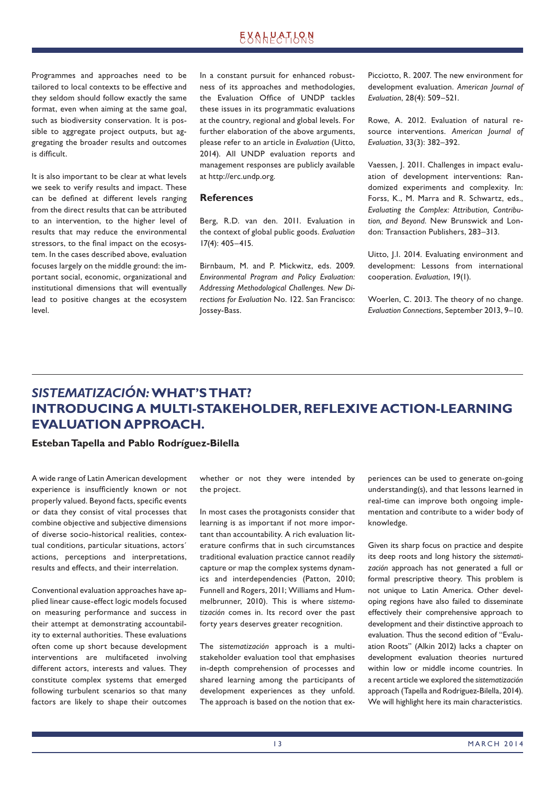Programmes and approaches need to be tailored to local contexts to be effective and they seldom should follow exactly the same format, even when aiming at the same goal, such as biodiversity conservation. It is possible to aggregate project outputs, but aggregating the broader results and outcomes is difficult.

It is also important to be clear at what levels we seek to verify results and impact. These can be defined at different levels ranging from the direct results that can be attributed to an intervention, to the higher level of results that may reduce the environmental stressors, to the final impact on the ecosystem. In the cases described above, evaluation focuses largely on the middle ground: the important social, economic, organizational and institutional dimensions that will eventually lead to positive changes at the ecosystem level.

In a constant pursuit for enhanced robustness of its approaches and methodologies, the Evaluation Office of UNDP tackles these issues in its programmatic evaluations at the country, regional and global levels. For further elaboration of the above arguments, please refer to an article in *Evaluation* (Uitto, 2014). All UNDP evaluation reports and management responses are publicly available at http://erc.undp.org.

### **References**

Berg, R.D. van den. 2011. Evaluation in the context of global public goods. *Evaluation* 17(4): 405–415.

Birnbaum, M. and P. Mickwitz, eds. 2009. *Environmental Program and Policy Evaluation: Addressing Methodological Challenges. New Directions for Evaluation* No. 122. San Francisco: Jossey-Bass.

Picciotto, R. 2007. The new environment for development evaluation. *American Journal of Evaluation*, 28(4): 509–521.

Rowe, A. 2012. Evaluation of natural resource interventions. *American Journal of Evaluation*, 33(3): 382–392.

Vaessen, J. 2011. Challenges in impact evaluation of development interventions: Randomized experiments and complexity. In: Forss, K., M. Marra and R. Schwartz, eds., *Evaluating the Complex: Attribution, Contribution, and Beyond*. New Brunswick and London: Transaction Publishers, 283–313.

Uitto, J.I. 2014. Evaluating environment and development: Lessons from international cooperation. *Evaluation*, 19(1).

Woerlen, C. 2013. The theory of no change. *Evaluation Connections*, September 2013, 9–10.

# *SISTEMATIZACIÓN:* **WHAT'S THAT? INTRODUCING A MULTI-STAKEHOLDER, REFLEXIVE ACTION-LEARNING EVALUATION APPROACH.**

### **Esteban Tapella and Pablo Rodríguez-Bilella**

A wide range of Latin American development experience is insufficiently known or not properly valued. Beyond facts, specific events or data they consist of vital processes that combine objective and subjective dimensions of diverse socio-historical realities, contextual conditions, particular situations, actors´ actions, perceptions and interpretations, results and effects, and their interrelation.

Conventional evaluation approaches have applied linear cause-effect logic models focused on measuring performance and success in their attempt at demonstrating accountability to external authorities. These evaluations often come up short because development interventions are multifaceted involving different actors, interests and values. They constitute complex systems that emerged following turbulent scenarios so that many factors are likely to shape their outcomes whether or not they were intended by the project.

In most cases the protagonists consider that learning is as important if not more important than accountability. A rich evaluation literature confirms that in such circumstances traditional evaluation practice cannot readily capture or map the complex systems dynamics and interdependencies (Patton, 2010; Funnell and Rogers, 2011; Williams and Hummelbrunner, 2010). This is where *sistematización* comes in. Its record over the past forty years deserves greater recognition.

The *sistematización* approach is a multistakeholder evaluation tool that emphasises in-depth comprehension of processes and shared learning among the participants of development experiences as they unfold. The approach is based on the notion that experiences can be used to generate on-going understanding(s), and that lessons learned in real-time can improve both ongoing implementation and contribute to a wider body of knowledge.

Given its sharp focus on practice and despite its deep roots and long history the *sistematización* approach has not generated a full or formal prescriptive theory. This problem is not unique to Latin America. Other developing regions have also failed to disseminate effectively their comprehensive approach to development and their distinctive approach to evaluation. Thus the second edition of "Evaluation Roots" (Alkin 2012) lacks a chapter on development evaluation theories nurtured within low or middle income countries. In a recent article we explored the *sistematización* approach (Tapella and Rodriguez-Bilella, 2014). We will highlight here its main characteristics.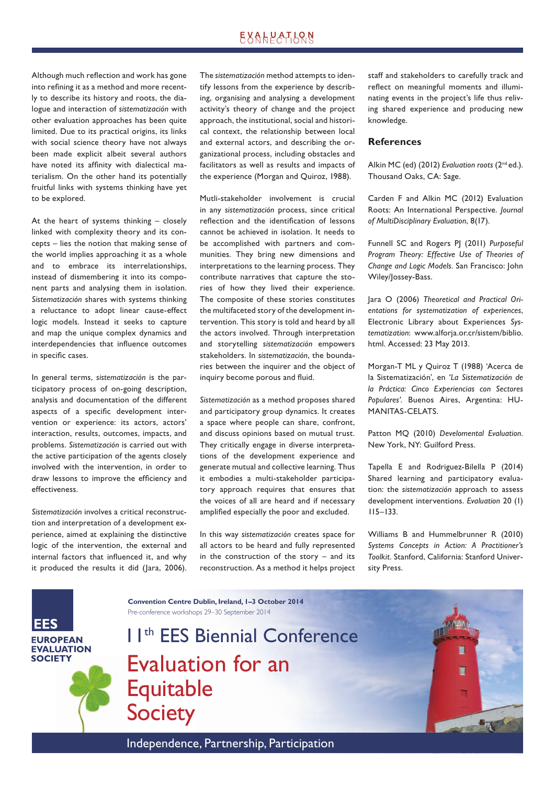Although much reflection and work has gone into refining it as a method and more recently to describe its history and roots, the dialogue and interaction of *sistematización* with other evaluation approaches has been quite limited. Due to its practical origins, its links with social science theory have not always been made explicit albeit several authors have noted its affinity with dialectical materialism. On the other hand its potentially fruitful links with systems thinking have yet to be explored.

At the heart of systems thinking – closely linked with complexity theory and its concepts – lies the notion that making sense of the world implies approaching it as a whole and to embrace its interrelationships, instead of dismembering it into its component parts and analysing them in isolation. *Sistematización* shares with systems thinking a reluctance to adopt linear cause-effect logic models. Instead it seeks to capture and map the unique complex dynamics and interdependencies that influence outcomes in specific cases.

In general terms, *sistematización* is the participatory process of on-going description, analysis and documentation of the different aspects of a specific development intervention or experience: its actors, actors' interaction, results, outcomes, impacts, and problems. *Sistematización* is carried out with the active participation of the agents closely involved with the intervention, in order to draw lessons to improve the efficiency and effectiveness.

*Sistematización* involves a critical reconstruction and interpretation of a development experience, aimed at explaining the distinctive logic of the intervention, the external and internal factors that influenced it, and why it produced the results it did (lara, 2006). The *sistematización* method attempts to identify lessons from the experience by describing, organising and analysing a development activity's theory of change and the project approach, the institutional, social and historical context, the relationship between local and external actors, and describing the organizational process, including obstacles and facilitators as well as results and impacts of the experience (Morgan and Quiroz, 1988).

Mutli-stakeholder involvement is crucial in any *sistematización* process, since critical reflection and the identification of lessons cannot be achieved in isolation. It needs to be accomplished with partners and communities. They bring new dimensions and interpretations to the learning process. They contribute narratives that capture the stories of how they lived their experience. The composite of these stories constitutes the multifaceted story of the development intervention. This story is told and heard by all the actors involved. Through interpretation and storytelling *sistematización* empowers stakeholders. In *sistematización*, the boundaries between the inquirer and the object of inquiry become porous and fluid.

*Sistematización* as a method proposes shared and participatory group dynamics. It creates a space where people can share, confront, and discuss opinions based on mutual trust. They critically engage in diverse interpretations of the development experience and generate mutual and collective learning. Thus it embodies a multi-stakeholder participatory approach requires that ensures that the voices of all are heard and if necessary amplified especially the poor and excluded.

In this way *sistematización* creates space for all actors to be heard and fully represented in the construction of the story – and its reconstruction. As a method it helps project staff and stakeholders to carefully track and reflect on meaningful moments and illuminating events in the project's life thus reliving shared experience and producing new knowledge.

### **References**

Alkin MC (ed) (2012) *Evaluation roots* (2nd ed.). Thousand Oaks, CA: Sage.

Carden F and Alkin MC (2012) Evaluation Roots: An International Perspective. *Journal of MultiDisciplinary Evaluation*, 8(17).

Funnell SC and Rogers PJ (2011) *Purposeful Program Theory: Effective Use of Theories of Change and Logic Models*. San Francisco: John Wiley/Jossey-Bass.

Jara O (2006) *Theoretical and Practical Orientations for systematization of experiences*, Electronic Library about Experiences *Systematization*: www.alforja.or.cr/sistem/biblio. html. Accessed: 23 May 2013.

Morgan-T ML y Quiroz T (1988) 'Acerca de la Sistematización', en *'La Sistematización de la Práctica: Cinco Experiencias con Sectores Populares'*. Buenos Aires, Argentina: HU-MANITAS-CELATS.

Patton MQ (2010) *Develomental Evaluation*. New York, NY: Guilford Press.

Tapella E and Rodriguez-Bilella P (2014) Shared learning and participatory evaluation: the *sistematización* approach to assess development interventions. *Evaluation* 20 (1) 115–133.

Williams B and Hummelbrunner R (2010) *Systems Concepts in Action: A Practitioner's Toolkit*. Stanford, California: Stanford University Press.



11th EES Biennial Conference Evaluation for an **Equitable Society** 

**Convention Centre Dublin, Ireland, 1–3 October 2014**

Pre-conference workshops 29–30 September 2014



Independence, Partnership, Participation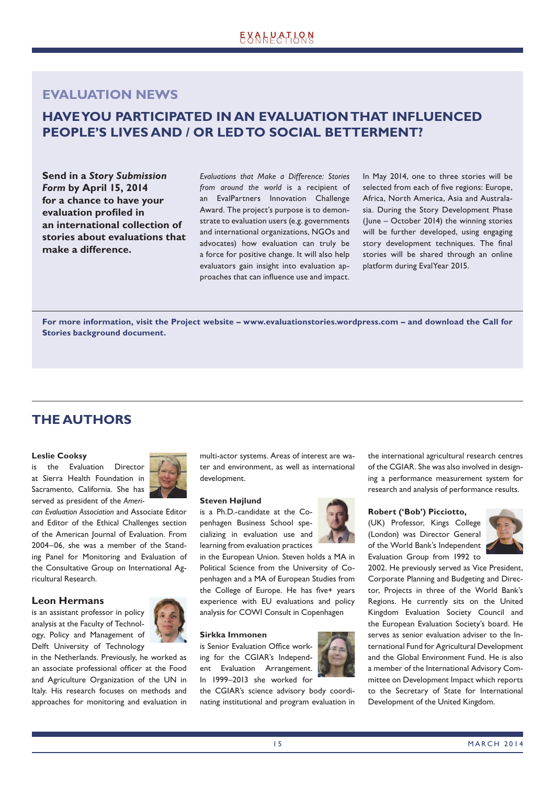### **EVALUATION NEWS**

# **HAVE YOU PARTICIPATED IN AN EVALUATION THAT INFLUENCED PEOPLE'S LIVES AND / OR LED TO SOCIAL BETTERMENT?**

**Send in a** *Story Submission Form* **by April 15, 2014 for a chance to have your evaluation profiled in an international collection of stories about evaluations that make a difference.**

*Evaluations that Make a Difference: Stories from around the world* is a recipient of an EvalPartners Innovation Challenge Award. The project's purpose is to demonstrate to evaluation users (e.g. governments and international organizations, NGOs and advocates) how evaluation can truly be a force for positive change. It will also help evaluators gain insight into evaluation approaches that can influence use and impact. In May 2014, one to three stories will be selected from each of five regions: Europe, Africa, North America, Asia and Australasia. During the Story Development Phase (June – October 2014) the winning stories will be further developed, using engaging story development techniques. The final stories will be shared through an online platform during EvalYear 2015.

**For more information, visit the Project website – www.evaluationstories.wordpress.com – and download the Call for Stories background document.** 

# **THE AUTHORS**

### **Leslie Cooksy**

is the Evaluation Director at Sierra Health Foundation in Sacramento, California. She has served as president of the *Ameri-*



*can Evaluation Association* and Associate Editor and Editor of the Ethical Challenges section of the American Journal of Evaluation. From 2004–06, she was a member of the Standing Panel for Monitoring and Evaluation of the Consultative Group on International Agricultural Research.

### **Leon Hermans**

is an assistant professor in policy analysis at the Faculty of Technology, Policy and Management of Delft University of Technology



in the Netherlands. Previously, he worked as an associate professional officer at the Food and Agriculture Organization of the UN in Italy. His research focuses on methods and approaches for monitoring and evaluation in multi-actor systems. Areas of interest are water and environment, as well as international development.

### **Steven Højlund**

is a Ph.D.-candidate at the Copenhagen Business School specializing in evaluation use and learning from evaluation practices

in the European Union. Steven holds a MA in Political Science from the University of Copenhagen and a MA of European Studies from the College of Europe. He has five+ years experience with EU evaluations and policy analysis for COWI Consult in Copenhagen

#### **Sirkka Immonen**

is Senior Evaluation Office working for the CGIAR's Independent Evaluation Arrangement. In 1999–2013 she worked for

the CGIAR's science advisory body coordinating institutional and program evaluation in



the international agricultural research centres of the CGIAR. She was also involved in designing a performance measurement system for research and analysis of performance results.

#### **Robert ('Bob') Picciotto,**

(UK) Professor, Kings College (London) was Director General of the World Bank's Independent Evaluation Group from 1992 to



2002. He previously served as Vice President, Corporate Planning and Budgeting and Director, Projects in three of the World Bank's Regions. He currently sits on the United Kingdom Evaluation Society Council and the European Evaluation Society's board. He serves as senior evaluation adviser to the International Fund for Agricultural Development and the Global Environment Fund. He is also a member of the International Advisory Committee on Development Impact which reports to the Secretary of State for International Development of the United Kingdom.